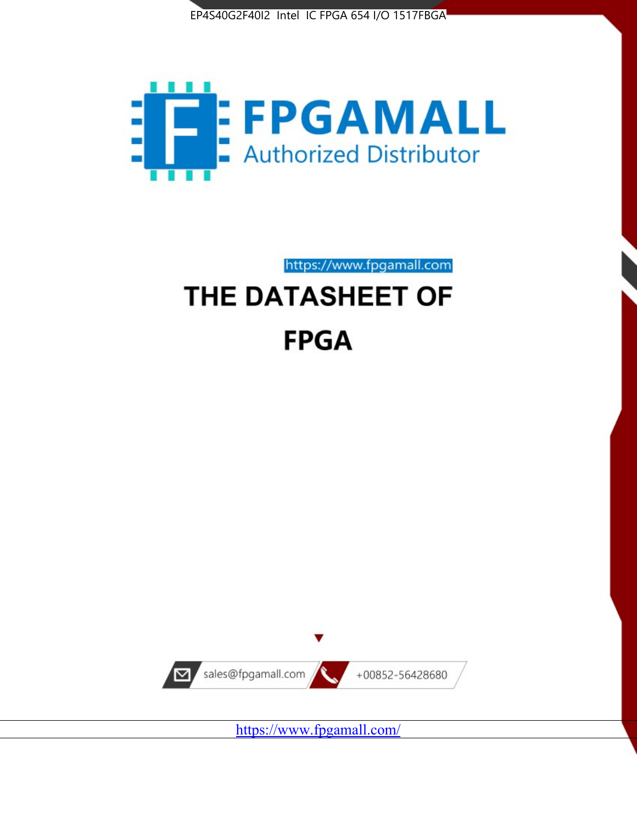



https://www.fpgamall.com

# THE DATASHEET OF **FPGA**



<https://www.fpgamall.com/>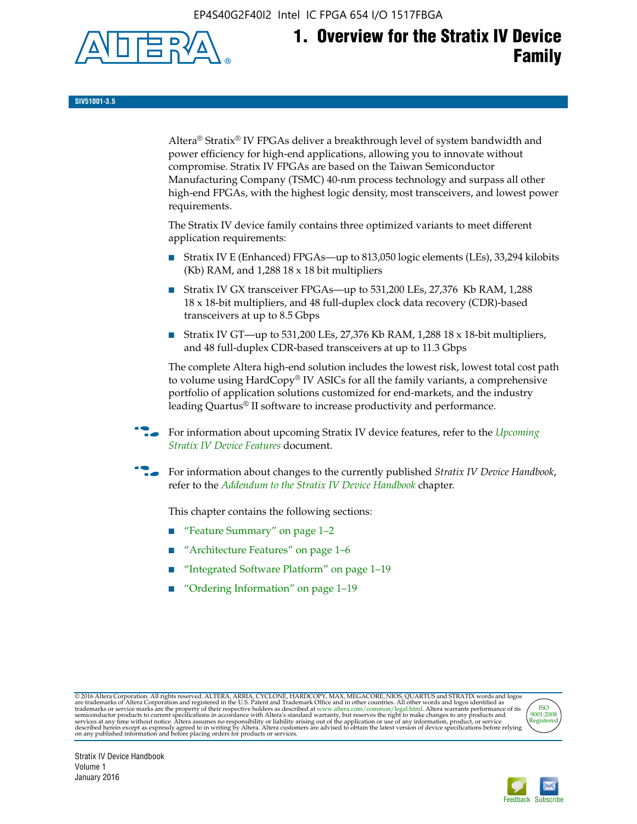EP4S40G2F40I2 Intel IC FPGA 654 I/O 1517FBGA



**SIV51001-3.5**

Altera® Stratix® IV FPGAs deliver a breakthrough level of system bandwidth and power efficiency for high-end applications, allowing you to innovate without compromise. Stratix IV FPGAs are based on the Taiwan Semiconductor Manufacturing Company (TSMC) 40-nm process technology and surpass all other high-end FPGAs, with the highest logic density, most transceivers, and lowest power requirements.

The Stratix IV device family contains three optimized variants to meet different application requirements:

- Stratix IV E (Enhanced) FPGAs—up to 813,050 logic elements (LEs), 33,294 kilobits (Kb) RAM, and 1,288 18 x 18 bit multipliers
- Stratix IV GX transceiver FPGAs—up to 531,200 LEs, 27,376 Kb RAM, 1,288 18 x 18-bit multipliers, and 48 full-duplex clock data recovery (CDR)-based transceivers at up to 8.5 Gbps
- Stratix IV GT—up to 531,200 LEs, 27,376 Kb RAM, 1,288 18 x 18-bit multipliers, and 48 full-duplex CDR-based transceivers at up to 11.3 Gbps

The complete Altera high-end solution includes the lowest risk, lowest total cost path to volume using HardCopy® IV ASICs for all the family variants, a comprehensive portfolio of application solutions customized for end-markets, and the industry leading Quartus® II software to increase productivity and performance.

For information about upcoming Stratix IV device features, refer to the *Upcoming [Stratix IV Device Features](http://www.altera.com/literature/hb/stratix-iv/uf01001.pdf?GSA_pos=2&WT.oss_r=1&WT.oss=upcoming)* document.

f For information about changes to the currently published *Stratix IV Device Handbook*, refer to the *[Addendum to the Stratix IV Device Handbook](http://www.altera.com/literature/hb/stratix-iv/stx4_siv54002.pdf)* chapter.

This chapter contains the following sections:

- "Feature Summary" on page 1–2
- "Architecture Features" on page 1–6
- "Integrated Software Platform" on page 1-19
- "Ordering Information" on page 1–19

@2016 Altera Corporation. All rights reserved. ALTERA, ARRIA, CYCLONE, HARDCOPY, MAX, MEGACORE, NIOS, QUARTUS and STRATIX words and logos are trademarks of Altera Corporation and registered in the U.S. Patent and Trademark



Stratix IV Device Handbook Volume 1 January 2016

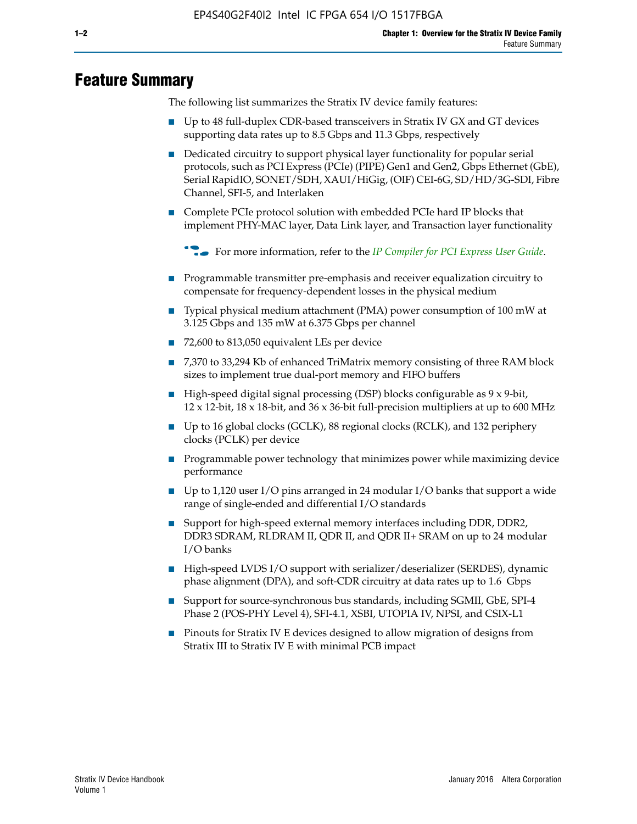# **Feature Summary**

The following list summarizes the Stratix IV device family features:

- Up to 48 full-duplex CDR-based transceivers in Stratix IV GX and GT devices supporting data rates up to 8.5 Gbps and 11.3 Gbps, respectively
- Dedicated circuitry to support physical layer functionality for popular serial protocols, such as PCI Express (PCIe) (PIPE) Gen1 and Gen2, Gbps Ethernet (GbE), Serial RapidIO, SONET/SDH, XAUI/HiGig, (OIF) CEI-6G, SD/HD/3G-SDI, Fibre Channel, SFI-5, and Interlaken
- Complete PCIe protocol solution with embedded PCIe hard IP blocks that implement PHY-MAC layer, Data Link layer, and Transaction layer functionality

**For more information, refer to the** *[IP Compiler for PCI Express User Guide](http://www.altera.com/literature/ug/ug_pci_express.pdf)***.** 

- Programmable transmitter pre-emphasis and receiver equalization circuitry to compensate for frequency-dependent losses in the physical medium
- Typical physical medium attachment (PMA) power consumption of 100 mW at 3.125 Gbps and 135 mW at 6.375 Gbps per channel
- 72,600 to 813,050 equivalent LEs per device
- 7,370 to 33,294 Kb of enhanced TriMatrix memory consisting of three RAM block sizes to implement true dual-port memory and FIFO buffers
- High-speed digital signal processing (DSP) blocks configurable as 9 x 9-bit,  $12 \times 12$ -bit,  $18 \times 18$ -bit, and  $36 \times 36$ -bit full-precision multipliers at up to 600 MHz
- Up to 16 global clocks (GCLK), 88 regional clocks (RCLK), and 132 periphery clocks (PCLK) per device
- Programmable power technology that minimizes power while maximizing device performance
- Up to 1,120 user I/O pins arranged in 24 modular I/O banks that support a wide range of single-ended and differential I/O standards
- Support for high-speed external memory interfaces including DDR, DDR2, DDR3 SDRAM, RLDRAM II, QDR II, and QDR II+ SRAM on up to 24 modular I/O banks
- High-speed LVDS I/O support with serializer/deserializer (SERDES), dynamic phase alignment (DPA), and soft-CDR circuitry at data rates up to 1.6 Gbps
- Support for source-synchronous bus standards, including SGMII, GbE, SPI-4 Phase 2 (POS-PHY Level 4), SFI-4.1, XSBI, UTOPIA IV, NPSI, and CSIX-L1
- Pinouts for Stratix IV E devices designed to allow migration of designs from Stratix III to Stratix IV E with minimal PCB impact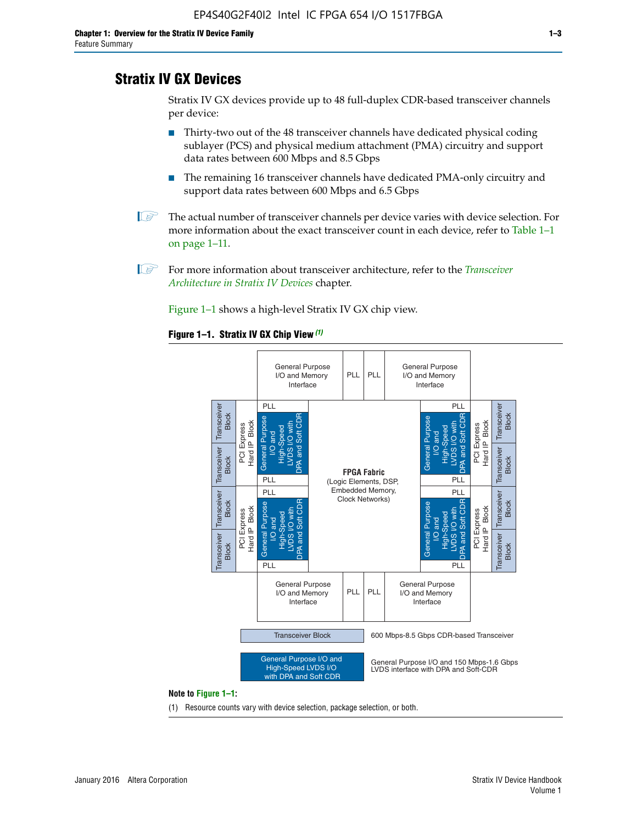# **Stratix IV GX Devices**

Stratix IV GX devices provide up to 48 full-duplex CDR-based transceiver channels per device:

- Thirty-two out of the 48 transceiver channels have dedicated physical coding sublayer (PCS) and physical medium attachment (PMA) circuitry and support data rates between 600 Mbps and 8.5 Gbps
- The remaining 16 transceiver channels have dedicated PMA-only circuitry and support data rates between 600 Mbps and 6.5 Gbps
- **1 The actual number of transceiver channels per device varies with device selection. For** more information about the exact transceiver count in each device, refer to Table 1–1 on page 1–11.
- 1 For more information about transceiver architecture, refer to the *[Transceiver](http://www.altera.com/literature/hb/stratix-iv/stx4_siv52001.pdf)  [Architecture in Stratix IV Devices](http://www.altera.com/literature/hb/stratix-iv/stx4_siv52001.pdf)* chapter.

Figure 1–1 shows a high-level Stratix IV GX chip view.

#### **Figure 1–1. Stratix IV GX Chip View** *(1)*



#### **Note to Figure 1–1:**

(1) Resource counts vary with device selection, package selection, or both.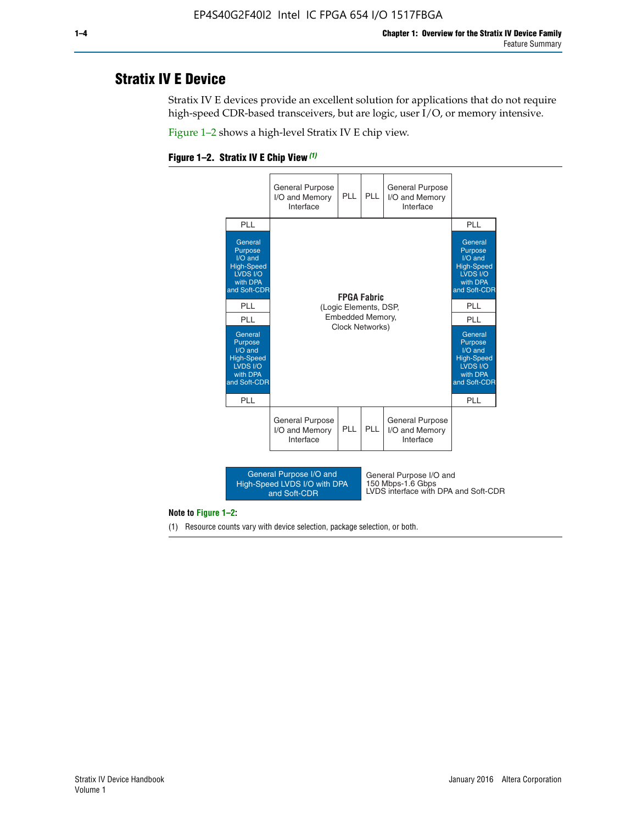# **Stratix IV E Device**

Stratix IV E devices provide an excellent solution for applications that do not require high-speed CDR-based transceivers, but are logic, user I/O, or memory intensive.

Figure 1–2 shows a high-level Stratix IV E chip view.

#### **Figure 1–2. Stratix IV E Chip View** *(1)*



#### **Note to Figure 1–2:**

(1) Resource counts vary with device selection, package selection, or both.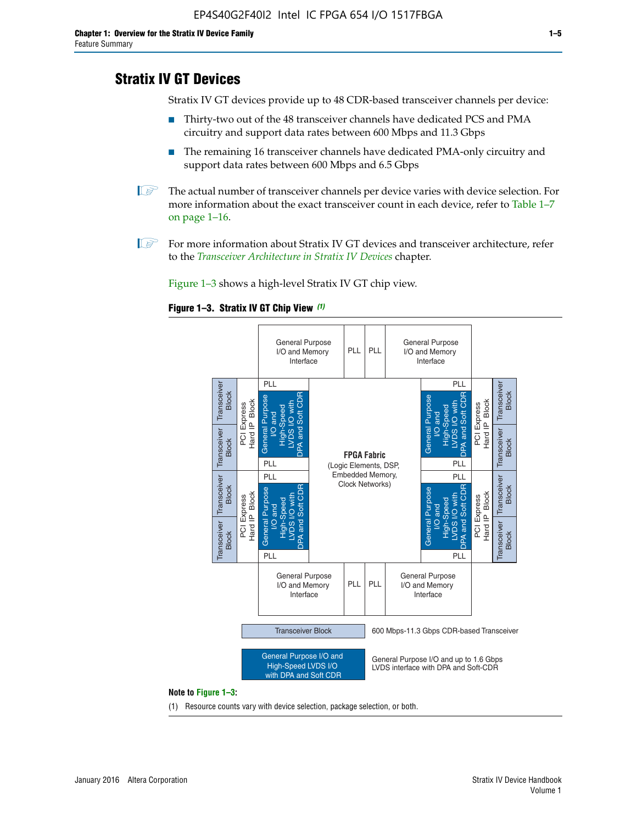# **Stratix IV GT Devices**

Stratix IV GT devices provide up to 48 CDR-based transceiver channels per device:

- Thirty-two out of the 48 transceiver channels have dedicated PCS and PMA circuitry and support data rates between 600 Mbps and 11.3 Gbps
- The remaining 16 transceiver channels have dedicated PMA-only circuitry and support data rates between 600 Mbps and 6.5 Gbps
- **1** The actual number of transceiver channels per device varies with device selection. For more information about the exact transceiver count in each device, refer to Table 1–7 on page 1–16.
- $\mathbb{I}$  For more information about Stratix IV GT devices and transceiver architecture, refer to the *[Transceiver Architecture in Stratix IV Devices](http://www.altera.com/literature/hb/stratix-iv/stx4_siv52001.pdf)* chapter.

Figure 1–3 shows a high-level Stratix IV GT chip view.

#### **Figure 1–3. Stratix IV GT Chip View** *(1)*



(1) Resource counts vary with device selection, package selection, or both.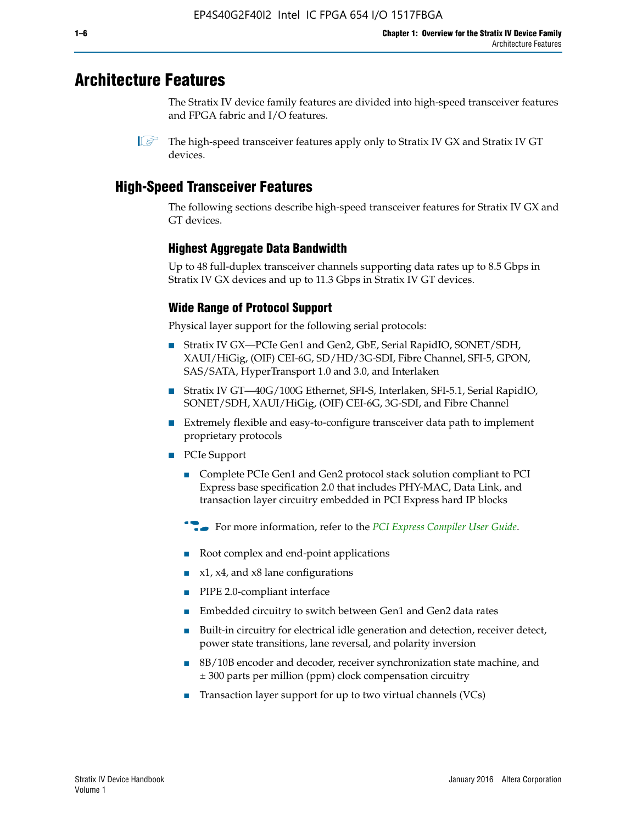# **Architecture Features**

The Stratix IV device family features are divided into high-speed transceiver features and FPGA fabric and I/O features.

 $\mathbb{I}$  The high-speed transceiver features apply only to Stratix IV GX and Stratix IV GT devices.

# **High-Speed Transceiver Features**

The following sections describe high-speed transceiver features for Stratix IV GX and GT devices.

## **Highest Aggregate Data Bandwidth**

Up to 48 full-duplex transceiver channels supporting data rates up to 8.5 Gbps in Stratix IV GX devices and up to 11.3 Gbps in Stratix IV GT devices.

## **Wide Range of Protocol Support**

Physical layer support for the following serial protocols:

- Stratix IV GX—PCIe Gen1 and Gen2, GbE, Serial RapidIO, SONET/SDH, XAUI/HiGig, (OIF) CEI-6G, SD/HD/3G-SDI, Fibre Channel, SFI-5, GPON, SAS/SATA, HyperTransport 1.0 and 3.0, and Interlaken
- Stratix IV GT—40G/100G Ethernet, SFI-S, Interlaken, SFI-5.1, Serial RapidIO, SONET/SDH, XAUI/HiGig, (OIF) CEI-6G, 3G-SDI, and Fibre Channel
- Extremely flexible and easy-to-configure transceiver data path to implement proprietary protocols
- PCIe Support
	- Complete PCIe Gen1 and Gen2 protocol stack solution compliant to PCI Express base specification 2.0 that includes PHY-MAC, Data Link, and transaction layer circuitry embedded in PCI Express hard IP blocks
	- **For more information, refer to the [PCI Express Compiler User Guide](http://www.altera.com/literature/ug/ug_pci_express.pdf).**
	- Root complex and end-point applications
	- $x1, x4,$  and  $x8$  lane configurations
	- PIPE 2.0-compliant interface
	- Embedded circuitry to switch between Gen1 and Gen2 data rates
	- Built-in circuitry for electrical idle generation and detection, receiver detect, power state transitions, lane reversal, and polarity inversion
	- 8B/10B encoder and decoder, receiver synchronization state machine, and ± 300 parts per million (ppm) clock compensation circuitry
	- Transaction layer support for up to two virtual channels (VCs)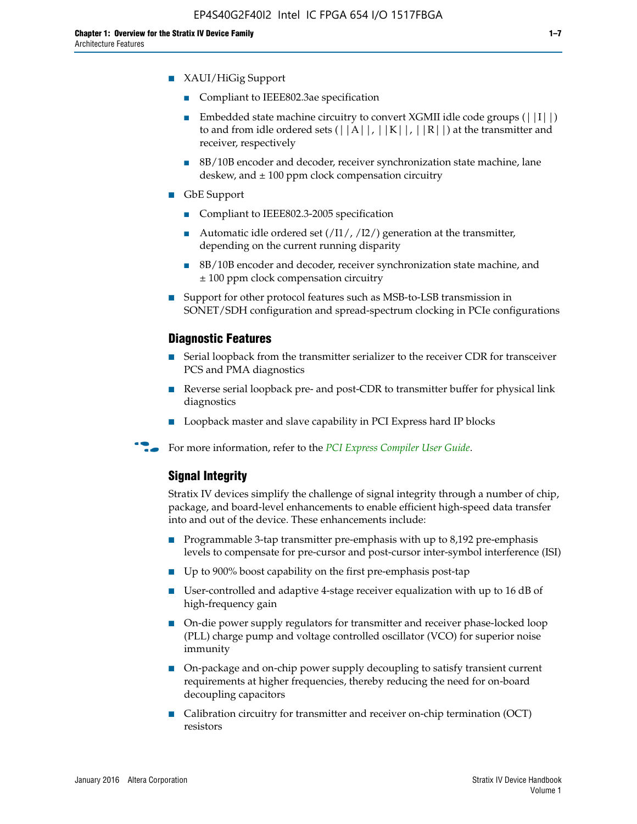- XAUI/HiGig Support
	- Compliant to IEEE802.3ae specification
	- **■** Embedded state machine circuitry to convert XGMII idle code groups  $(|11|)$ to and from idle ordered sets  $(|A|, |K|, |R|)$  at the transmitter and receiver, respectively
	- 8B/10B encoder and decoder, receiver synchronization state machine, lane deskew, and  $\pm 100$  ppm clock compensation circuitry
- GbE Support
	- Compliant to IEEE802.3-2005 specification
	- Automatic idle ordered set  $(111/112/1)$  generation at the transmitter, depending on the current running disparity
	- 8B/10B encoder and decoder, receiver synchronization state machine, and ± 100 ppm clock compensation circuitry
- Support for other protocol features such as MSB-to-LSB transmission in SONET/SDH configuration and spread-spectrum clocking in PCIe configurations

#### **Diagnostic Features**

- Serial loopback from the transmitter serializer to the receiver CDR for transceiver PCS and PMA diagnostics
- Reverse serial loopback pre- and post-CDR to transmitter buffer for physical link diagnostics
- Loopback master and slave capability in PCI Express hard IP blocks
- **For more information, refer to the** *[PCI Express Compiler User Guide](http://www.altera.com/literature/ug/ug_pci_express.pdf)***.**

## **Signal Integrity**

Stratix IV devices simplify the challenge of signal integrity through a number of chip, package, and board-level enhancements to enable efficient high-speed data transfer into and out of the device. These enhancements include:

- Programmable 3-tap transmitter pre-emphasis with up to 8,192 pre-emphasis levels to compensate for pre-cursor and post-cursor inter-symbol interference (ISI)
- Up to 900% boost capability on the first pre-emphasis post-tap
- User-controlled and adaptive 4-stage receiver equalization with up to 16 dB of high-frequency gain
- On-die power supply regulators for transmitter and receiver phase-locked loop (PLL) charge pump and voltage controlled oscillator (VCO) for superior noise immunity
- On-package and on-chip power supply decoupling to satisfy transient current requirements at higher frequencies, thereby reducing the need for on-board decoupling capacitors
- Calibration circuitry for transmitter and receiver on-chip termination (OCT) resistors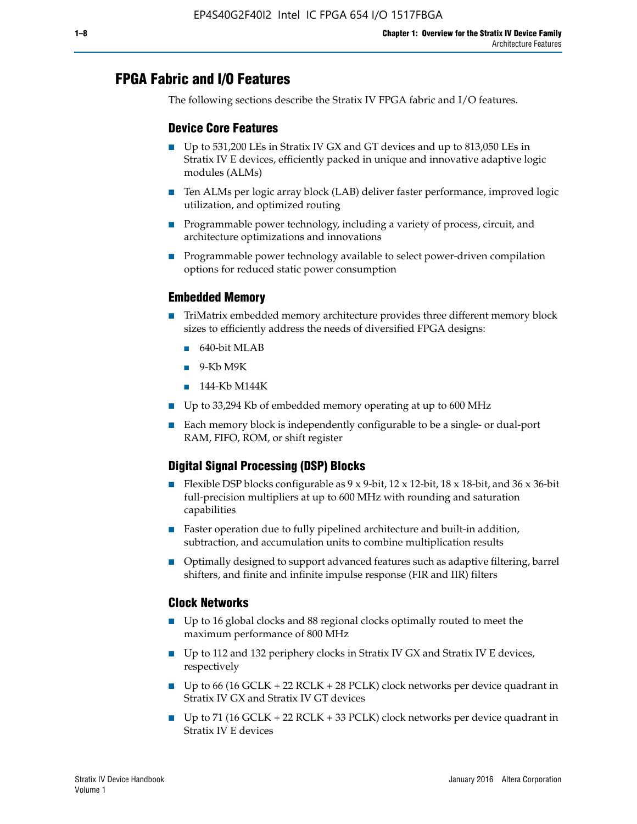# **FPGA Fabric and I/O Features**

The following sections describe the Stratix IV FPGA fabric and I/O features.

## **Device Core Features**

- Up to 531,200 LEs in Stratix IV GX and GT devices and up to 813,050 LEs in Stratix IV E devices, efficiently packed in unique and innovative adaptive logic modules (ALMs)
- Ten ALMs per logic array block (LAB) deliver faster performance, improved logic utilization, and optimized routing
- Programmable power technology, including a variety of process, circuit, and architecture optimizations and innovations
- Programmable power technology available to select power-driven compilation options for reduced static power consumption

## **Embedded Memory**

- TriMatrix embedded memory architecture provides three different memory block sizes to efficiently address the needs of diversified FPGA designs:
	- 640-bit MLAB
	- 9-Kb M9K
	- 144-Kb M144K
- Up to 33,294 Kb of embedded memory operating at up to 600 MHz
- Each memory block is independently configurable to be a single- or dual-port RAM, FIFO, ROM, or shift register

## **Digital Signal Processing (DSP) Blocks**

- Flexible DSP blocks configurable as  $9 \times 9$ -bit,  $12 \times 12$ -bit,  $18 \times 18$ -bit, and  $36 \times 36$ -bit full-precision multipliers at up to 600 MHz with rounding and saturation capabilities
- Faster operation due to fully pipelined architecture and built-in addition, subtraction, and accumulation units to combine multiplication results
- Optimally designed to support advanced features such as adaptive filtering, barrel shifters, and finite and infinite impulse response (FIR and IIR) filters

### **Clock Networks**

- Up to 16 global clocks and 88 regional clocks optimally routed to meet the maximum performance of 800 MHz
- Up to 112 and 132 periphery clocks in Stratix IV GX and Stratix IV E devices, respectively
- Up to 66 (16 GCLK + 22 RCLK + 28 PCLK) clock networks per device quadrant in Stratix IV GX and Stratix IV GT devices
- Up to 71 (16 GCLK + 22 RCLK + 33 PCLK) clock networks per device quadrant in Stratix IV E devices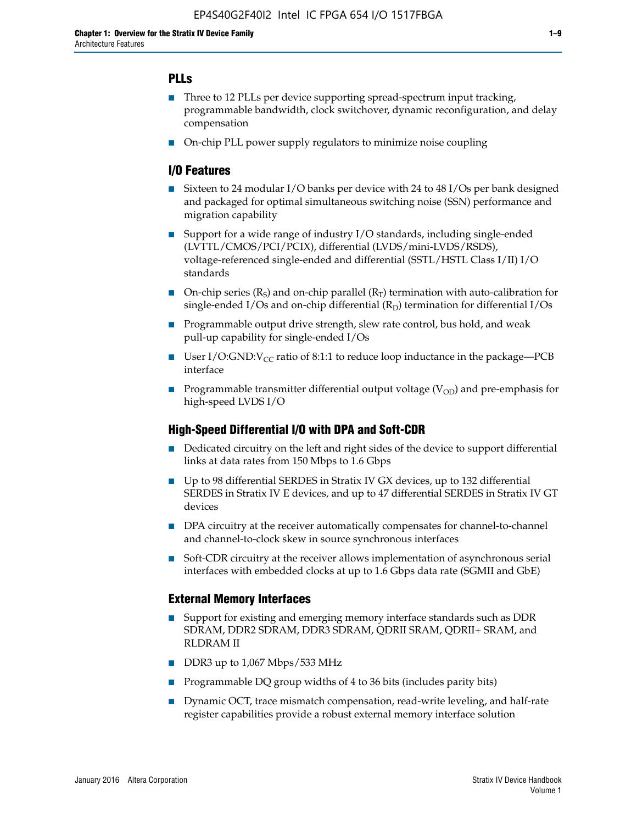## **PLLs**

- Three to 12 PLLs per device supporting spread-spectrum input tracking, programmable bandwidth, clock switchover, dynamic reconfiguration, and delay compensation
- On-chip PLL power supply regulators to minimize noise coupling

## **I/O Features**

- Sixteen to 24 modular I/O banks per device with 24 to 48 I/Os per bank designed and packaged for optimal simultaneous switching noise (SSN) performance and migration capability
- Support for a wide range of industry I/O standards, including single-ended (LVTTL/CMOS/PCI/PCIX), differential (LVDS/mini-LVDS/RSDS), voltage-referenced single-ended and differential (SSTL/HSTL Class I/II) I/O standards
- **O**n-chip series  $(R_S)$  and on-chip parallel  $(R_T)$  termination with auto-calibration for single-ended I/Os and on-chip differential  $(R_D)$  termination for differential I/Os
- Programmable output drive strength, slew rate control, bus hold, and weak pull-up capability for single-ended I/Os
- User I/O:GND: $V_{CC}$  ratio of 8:1:1 to reduce loop inductance in the package—PCB interface
- **■** Programmable transmitter differential output voltage ( $V_{OD}$ ) and pre-emphasis for high-speed LVDS I/O

### **High-Speed Differential I/O with DPA and Soft-CDR**

- Dedicated circuitry on the left and right sides of the device to support differential links at data rates from 150 Mbps to 1.6 Gbps
- Up to 98 differential SERDES in Stratix IV GX devices, up to 132 differential SERDES in Stratix IV E devices, and up to 47 differential SERDES in Stratix IV GT devices
- DPA circuitry at the receiver automatically compensates for channel-to-channel and channel-to-clock skew in source synchronous interfaces
- Soft-CDR circuitry at the receiver allows implementation of asynchronous serial interfaces with embedded clocks at up to 1.6 Gbps data rate (SGMII and GbE)

### **External Memory Interfaces**

- Support for existing and emerging memory interface standards such as DDR SDRAM, DDR2 SDRAM, DDR3 SDRAM, QDRII SRAM, QDRII+ SRAM, and RLDRAM II
- DDR3 up to 1,067 Mbps/533 MHz
- Programmable DQ group widths of 4 to 36 bits (includes parity bits)
- Dynamic OCT, trace mismatch compensation, read-write leveling, and half-rate register capabilities provide a robust external memory interface solution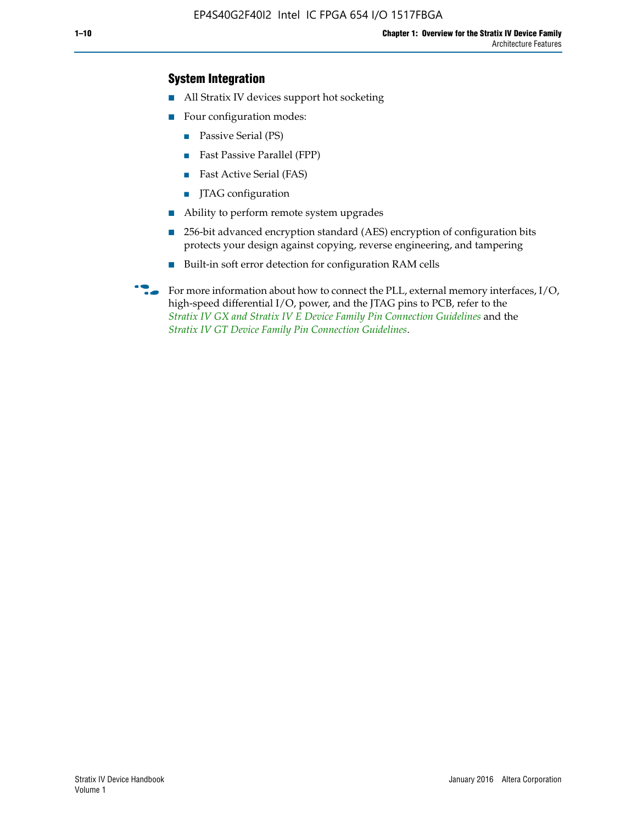## **System Integration**

- All Stratix IV devices support hot socketing
- Four configuration modes:
	- Passive Serial (PS)
	- Fast Passive Parallel (FPP)
	- Fast Active Serial (FAS)
	- JTAG configuration
- Ability to perform remote system upgrades
- 256-bit advanced encryption standard (AES) encryption of configuration bits protects your design against copying, reverse engineering, and tampering
- Built-in soft error detection for configuration RAM cells
- For more information about how to connect the PLL, external memory interfaces,  $I/O$ , high-speed differential I/O, power, and the JTAG pins to PCB, refer to the *[Stratix IV GX and Stratix IV E Device Family Pin Connection Guidelines](http://www.altera.com/literature/dp/stratix4/PCG-01005.pdf)* and the *[Stratix IV GT Device Family Pin Connection Guidelines](http://www.altera.com/literature/dp/stratix4/PCG-01006.pdf)*.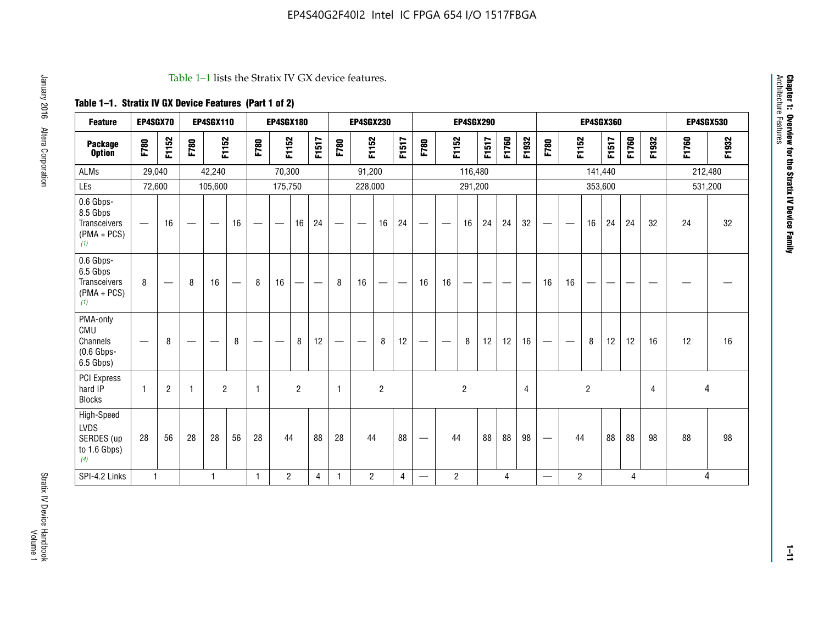#### Table 1–1 lists the Stratix IV GX device features.

## **Table 1–1. Stratix IV GX Device Features (Part 1 of 2)**

| <b>Feature</b>                                                       | EP4SGX70     |                               |      | <b>EP4SGX110</b>  |                   |      | <b>EP4SGX180</b>                |                |       |                                 | <b>EP4SGX230</b>              |                |                                   |                                 |                | <b>EP4SGX290</b>         |                          |       |                |                          |                                |                | <b>EP4SGX360</b> |       |                |       | <b>EP4SGX530</b> |
|----------------------------------------------------------------------|--------------|-------------------------------|------|-------------------|-------------------|------|---------------------------------|----------------|-------|---------------------------------|-------------------------------|----------------|-----------------------------------|---------------------------------|----------------|--------------------------|--------------------------|-------|----------------|--------------------------|--------------------------------|----------------|------------------|-------|----------------|-------|------------------|
| <b>Package</b><br><b>Option</b>                                      | F780         | F1152                         | F780 | F1152             |                   | F780 | F1152                           |                | F1517 | F780                            | F1152                         |                | F1517                             | F780                            | F1152          |                          | F1517                    | F1760 | F1932          | F780                     | F1152                          |                | F1517            | F1760 | F1932          | F1760 | F1932            |
| <b>ALMs</b>                                                          | 29,040       |                               |      | 42,240            |                   |      | 70,300                          |                |       |                                 | 91,200                        |                |                                   |                                 |                | 116,480                  |                          |       |                |                          |                                | 141,440        |                  |       |                |       | 212,480          |
| LEs                                                                  | 72,600       |                               |      | 105,600           |                   |      | 175,750                         |                |       |                                 | 228,000                       |                |                                   |                                 |                | 291,200                  |                          |       |                |                          |                                |                | 353,600          |       |                |       | 531,200          |
| 0.6 Gbps-<br>8.5 Gbps<br>Transceivers<br>$(PMA + PCs)$<br>(1)        | —            | 16                            |      | $\hspace{0.05cm}$ | 16                | —    | $\hspace{0.1mm}-\hspace{0.1mm}$ | 16             | 24    | $\hspace{0.1mm}-\hspace{0.1mm}$ | $\overbrace{\phantom{aaaaa}}$ | 16             | 24                                | $\hspace{0.05cm}$               |                | 16                       | 24                       | 24    | 32             |                          | $\overbrace{\phantom{aaaaa}}$  | 16             | 24               | 24    | 32             | 24    | 32               |
| 0.6 Gbps-<br>6.5 Gbps<br><b>Transceivers</b><br>$(PMA + PCs)$<br>(1) | 8            | $\overbrace{\phantom{aaaaa}}$ | 8    | 16                | $\qquad \qquad -$ | 8    | 16                              | -              | —     | 8                               | 16                            | —              | $\overbrace{\phantom{123221111}}$ | 16                              | 16             | $\overline{\phantom{0}}$ | $\overline{\phantom{0}}$ |       |                | 16                       | 16                             | —              |                  |       |                |       |                  |
| PMA-only<br>CMU<br>Channels<br>$(0.6$ Gbps-<br>6.5 Gbps)             |              | 8                             |      |                   | 8                 | —    | —                               | 8              | 12    |                                 | $\overline{\phantom{m}}$      | 8              | 12                                | $\hspace{0.1mm}-\hspace{0.1mm}$ | -              | 8                        | 12                       | 12    | 16             |                          | $\qquad \qquad \longleftarrow$ | 8              | 12               | 12    | 16             | 12    | 16               |
| PCI Express<br>hard IP<br><b>Blocks</b>                              | $\mathbf{1}$ | $\overline{c}$                | -1   | $\overline{2}$    |                   | 1    |                                 | $\overline{2}$ |       | $\mathbf{1}$                    |                               | $\overline{c}$ |                                   |                                 |                | $\overline{2}$           |                          |       | $\overline{4}$ |                          |                                | $\overline{c}$ |                  |       | $\overline{4}$ | 4     |                  |
| High-Speed<br><b>LVDS</b><br>SERDES (up<br>to 1.6 Gbps)<br>(4)       | 28           | 56                            | 28   | 28                | 56                | 28   | 44                              |                | 88    | 28                              | 44                            |                | 88                                | —                               | 44             |                          | 88                       | 88    | 98             |                          | 44                             |                | 88               | 88    | 98             | 88    | 98               |
| SPI-4.2 Links                                                        | $\mathbf{1}$ |                               |      | 1                 |                   | 1    | $\overline{c}$                  |                | 4     | 1                               | $\overline{2}$                |                | 4                                 | —                               | $\overline{c}$ |                          |                          | 4     |                | $\overline{\phantom{0}}$ | 2                              |                |                  | 4     |                |       | 4                |

Architecture Features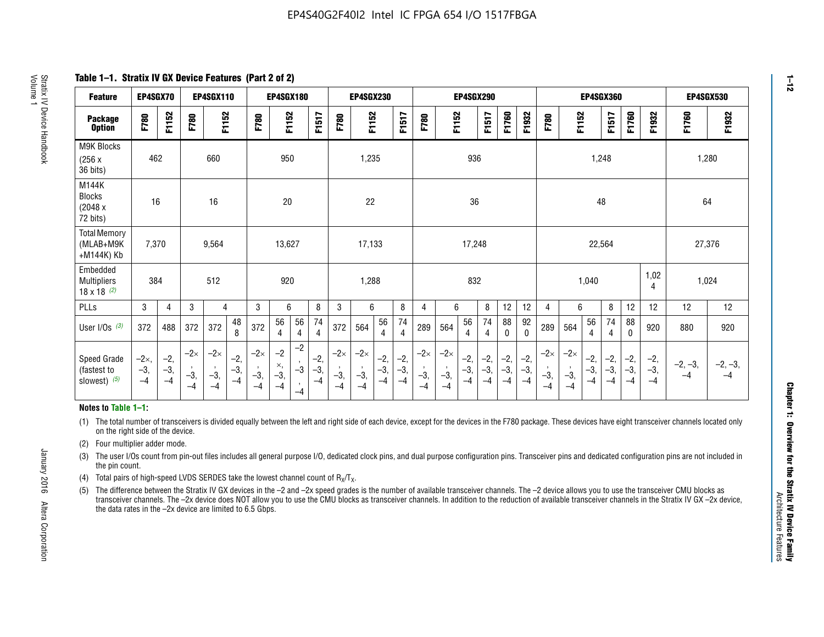**Table 1–1. Stratix IV GX Device Features (Part 2 of 2)**

| <b>Feature</b>                                       | EP4SGX70                |                        |                             | <b>EP4SGX110</b>            |                      |                             | <b>EP4SGX180</b>          |                                              |                        |                             | <b>EP4SGX230</b>            |                        |                      |                             |                             | EP4SGX290              |                      |                        |                        |                             |                             |                        | <b>EP4SGX360</b>     |                        |                        | <b>EP4SGX530</b>  |                   |
|------------------------------------------------------|-------------------------|------------------------|-----------------------------|-----------------------------|----------------------|-----------------------------|---------------------------|----------------------------------------------|------------------------|-----------------------------|-----------------------------|------------------------|----------------------|-----------------------------|-----------------------------|------------------------|----------------------|------------------------|------------------------|-----------------------------|-----------------------------|------------------------|----------------------|------------------------|------------------------|-------------------|-------------------|
| <b>Package</b><br><b>Option</b>                      | F780                    | F1152                  | F780                        | F1152                       |                      | F780                        | F1152                     |                                              | F1517                  | F780                        | F1152                       |                        | F1517                | F780                        | F1152                       |                        | F1517                | F1760                  | F1932                  | F780                        | F1152                       |                        | F1517                | F1760                  | F1932                  | F1760             | F1932             |
| M9K Blocks<br>(256x)<br>36 bits)                     | 462                     |                        |                             | 660                         |                      |                             | 950                       |                                              |                        |                             | 1,235                       |                        |                      |                             |                             | 936                    |                      |                        |                        |                             |                             | 1,248                  |                      |                        |                        | 1,280             |                   |
| M144K<br>Blocks<br>(2048 x<br>72 bits)               | 16                      |                        |                             | 16                          |                      |                             | 20                        |                                              |                        |                             | 22                          |                        |                      |                             |                             | 36                     |                      |                        |                        |                             |                             | 48                     |                      |                        |                        | 64                |                   |
| <b>Total Memory</b><br>(MLAB+M9K<br>+M144K) Kb       | 7,370                   |                        |                             | 9,564                       |                      |                             | 13,627                    |                                              |                        |                             | 17,133                      |                        |                      |                             |                             | 17,248                 |                      |                        |                        |                             |                             | 22,564                 |                      |                        |                        | 27,376            |                   |
| Embedded<br><b>Multipliers</b><br>$18 \times 18$ (2) | 384                     |                        |                             | 512                         |                      |                             | 920                       |                                              |                        |                             | 1,288                       |                        |                      |                             |                             | 832                    |                      |                        |                        |                             |                             | 1,040                  |                      |                        | 1,02<br>4              | 1,024             |                   |
| PLLs                                                 | 3                       | 4                      | 3                           | 4                           |                      | 3                           | 6                         |                                              | 8                      | 3                           | 6                           |                        | 8                    | 4                           | 6                           |                        | 8                    | 12                     | 12                     | 4                           | 6                           |                        | 8                    | 12                     | 12                     | 12                | 12                |
| User I/Os $(3)$                                      | 372                     | 488                    | 372                         | 372                         | 48<br>8              | 372                         | 56<br>4                   | 56<br>4                                      | 74<br>$\overline{4}$   | 372                         | 564                         | 56<br>4                | 74<br>$\overline{4}$ | 289                         | 564                         | 56<br>4                | 74<br>4              | 88<br>0                | 92<br>$\mathbf 0$      | 289                         | 564                         | 56<br>4                | 74<br>4              | 88<br>0                | 920                    | 880               | 920               |
| Speed Grade<br>(fastest to<br>slowest) (5)           | $-2x,$<br>$-3,$<br>$-4$ | $-2,$<br>$-3,$<br>$-4$ | $-2\times$<br>$-3,$<br>$-4$ | $-2\times$<br>$-3,$<br>$-4$ | $-2,$<br>-3,<br>$-4$ | $-2\times$<br>$-3,$<br>$-4$ | $-2$<br>×,<br>$-3,$<br>-4 | $-2$<br>$\,$<br>$-3$<br>$\mathbf{r}$<br>$-4$ | $-2,$<br>$-3,$<br>$-4$ | $-2\times$<br>$-3,$<br>$-4$ | $-2\times$<br>$-3,$<br>$-4$ | $-2,$<br>$-3,$<br>$-4$ | $-2,$<br>-3,<br>$-4$ | $-2\times$<br>$-3,$<br>$-4$ | $-2\times$<br>$-3,$<br>$-4$ | $-2,$<br>$-3,$<br>$-4$ | $-2,$<br>-3,<br>$-4$ | $-2,$<br>$-3,$<br>$-4$ | $-2,$<br>$-3,$<br>$-4$ | $-2\times$<br>$-3,$<br>$-4$ | $-2\times$<br>$-3,$<br>$-4$ | $-2,$<br>$-3,$<br>$-4$ | $-2,$<br>-3,<br>$-4$ | $-2,$<br>$-3,$<br>$-4$ | $-2,$<br>$-3,$<br>$-4$ | $-2, -3,$<br>$-4$ | $-2, -3,$<br>$-4$ |

#### **Notes to Table 1–1:**

(1) The total number of transceivers is divided equally between the left and right side of each device, except for the devices in the F780 package. These devices have eight transceiver channels located only on the right side of the device.

- (2) Four multiplier adder mode.
- (3) The user I/Os count from pin-out files includes all general purpose I/O, dedicated clock pins, and dual purpose configuration pins. Transceiver pins and dedicated configuration pins are not included in the pin count.
- (4) Total pairs of high-speed LVDS SERDES take the lowest channel count of  $R_X/T_X$ .
- (5) The difference between the Stratix IV GX devices in the –2 and –2x speed grades is the number of available transceiver channels. The –2 device allows you to use the transceiver CMU blocks as transceiver channels. The –2x device does NOT allow you to use the CMU blocks as transceiver channels. In addition to the reduction of available transceiver channels in the Stratix IV GX –2x device, the data rates in the –2x device are limited to 6.5 Gbps.

January 2016 Altera Corporation

Altera Corporation

January 2016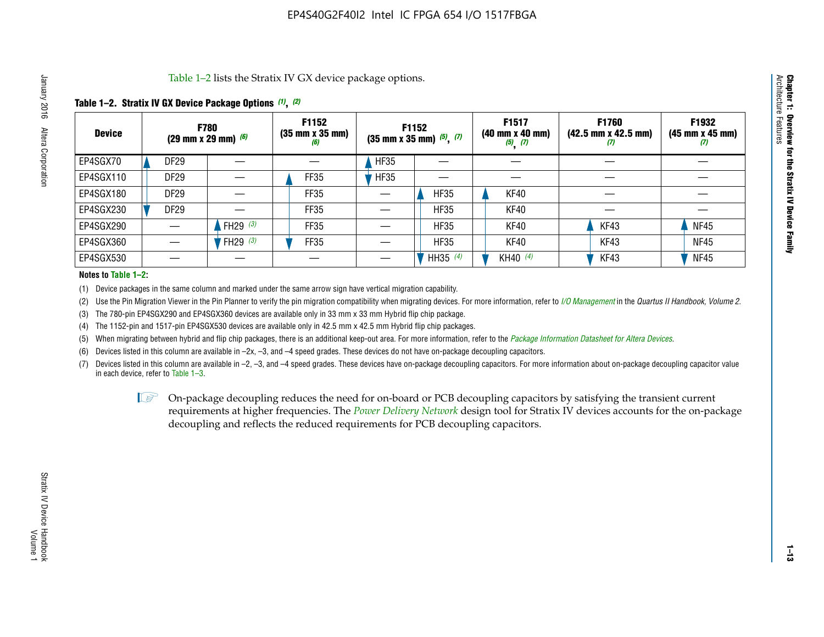Table 1–2 lists the Stratix IV GX device package options.

#### **Table 1–2. Stratix IV GX Device Package Options** *(1)***,** *(2)*

| <b>Device</b> | (29 mm x 29 mm) $(6)$ | <b>F780</b>          | F1152<br>$(35 \, \text{mm} \times 35 \, \text{mm})$<br>(6) |             | <b>F1152</b><br>$(35$ mm x 35 mm) $(5)$ , $(7)$ | F1517<br>(40 mm x 40 mm)<br>$(5)$ $(7)$ | <b>F1760</b><br>$(42.5 \text{ mm} \times 42.5 \text{ mm})$<br>W | F1932<br>$(45 \, \text{mm} \times 45 \, \text{mm})$<br>$\boldsymbol{v}$ |
|---------------|-----------------------|----------------------|------------------------------------------------------------|-------------|-------------------------------------------------|-----------------------------------------|-----------------------------------------------------------------|-------------------------------------------------------------------------|
| EP4SGX70      | DF <sub>29</sub>      |                      |                                                            | <b>HF35</b> |                                                 |                                         |                                                                 |                                                                         |
| EP4SGX110     | <b>DF29</b>           |                      | FF35                                                       | <b>HF35</b> |                                                 |                                         |                                                                 |                                                                         |
| EP4SGX180     | DF29                  |                      | FF35                                                       |             | <b>HF35</b>                                     | KF40                                    |                                                                 |                                                                         |
| EP4SGX230     | <b>DF29</b>           |                      | FF35                                                       |             | <b>HF35</b>                                     | KF40                                    |                                                                 |                                                                         |
| EP4SGX290     |                       | FH29 $(3)$           | FF35                                                       |             | <b>HF35</b>                                     | KF40                                    | KF43                                                            | <b>NF45</b>                                                             |
| EP4SGX360     |                       | 'FH29 <sup>(3)</sup> | FF35                                                       |             | <b>HF35</b>                                     | KF40                                    | KF43                                                            | <b>NF45</b>                                                             |
| EP4SGX530     |                       |                      |                                                            |             | HH35 $(4)$                                      | KH40 (4)                                | KF43                                                            | <b>NF45</b>                                                             |

#### **Notes to Table 1–2:**

(1) Device packages in the same column and marked under the same arrow sign have vertical migration capability.

(2) Use the Pin Migration Viewer in the Pin Planner to verify the pin migration compatibility when migrating devices. For more information, refer to *[I/O Management](http://www.altera.com/literature/hb/qts/qts_qii52013.pdf)* in the *Quartus II Handbook, Volume 2*.

(3) The 780-pin EP4SGX290 and EP4SGX360 devices are available only in 33 mm x 33 mm Hybrid flip chip package.

(4) The 1152-pin and 1517-pin EP4SGX530 devices are available only in 42.5 mm x 42.5 mm Hybrid flip chip packages.

(5) When migrating between hybrid and flip chip packages, there is an additional keep-out area. For more information, refer to the *[Package Information Datasheet for Altera Devices](http://www.altera.com/literature/ds/dspkg.pdf)*.

(6) Devices listed in this column are available in –2x, –3, and –4 speed grades. These devices do not have on-package decoupling capacitors.

(7) Devices listed in this column are available in –2, –3, and –4 speed grades. These devices have on-package decoupling capacitors. For more information about on-package decoupling capacitor value in each device, refer to Table 1–3.

 $\mathbb{L}$ s On-package decoupling reduces the need for on-board or PCB decoupling capacitors by satisfying the transient current requirements at higher frequencies. The *[Power Delivery Network](http://www.altera.com/literature/ug/pdn_tool_stxiv.zip)* design tool for Stratix IV devices accounts for the on-package decoupling and reflects the reduced requirements for PCB decoupling capacitors.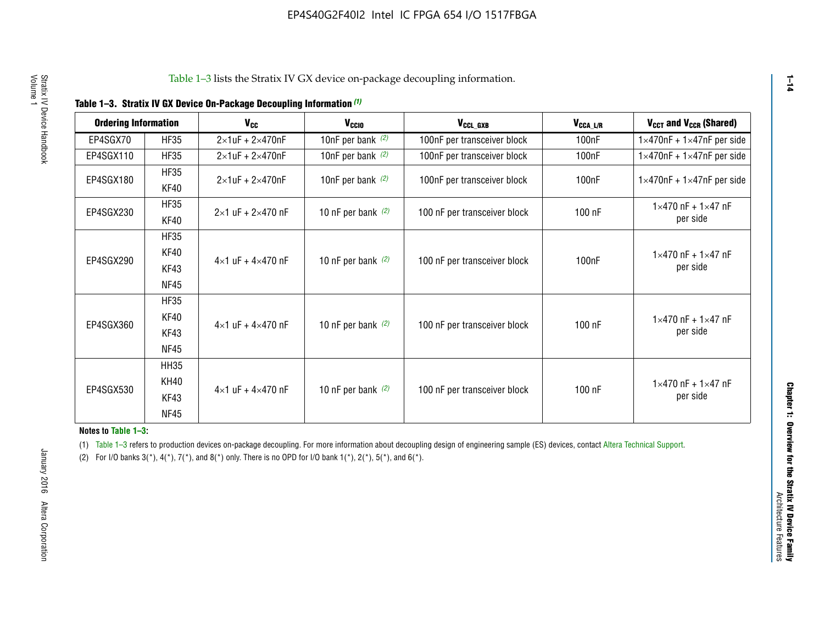|  |  | Table 1-3. Stratix IV GX Device On-Package Decoupling Information (1) |  |  |
|--|--|-----------------------------------------------------------------------|--|--|
|--|--|-----------------------------------------------------------------------|--|--|

| <b>Ordering Information</b> |                     | <b>V<sub>cc</sub></b>               | V <sub>ccio</sub>    | V <sub>CCL GXB</sub>         | V <sub>CCA_L/R</sub> | V <sub>CCT</sub> and V <sub>CCR</sub> (Shared)   |
|-----------------------------|---------------------|-------------------------------------|----------------------|------------------------------|----------------------|--------------------------------------------------|
| EP4SGX70                    | <b>HF35</b>         | $2\times1$ uF + $2\times470$ nF     | 10nF per bank $(2)$  | 100nF per transceiver block  | 100 <sub>n</sub> F   | $1 \times 470$ nF + $1 \times 47$ nF per side    |
| EP4SGX110                   | <b>HF35</b>         | $2\times1$ uF + $2\times470$ nF     | 10nF per bank $(2)$  | 100nF per transceiver block  | 100 <sub>n</sub> F   | $1\times470$ nF + $1\times47$ nF per side        |
| EP4SGX180                   | <b>HF35</b><br>KF40 | $2\times1$ uF + $2\times470$ nF     | 10nF per bank $(2)$  | 100nF per transceiver block  | 100 <sub>n</sub> F   | $1 \times 470$ nF + $1 \times 47$ nF per side    |
| EP4SGX230                   | <b>HF35</b><br>KF40 | $2 \times 1$ uF + $2 \times 470$ nF | 10 nF per bank $(2)$ | 100 nF per transceiver block | 100 nF               | $1 \times 470$ nF + $1 \times 47$ nF<br>per side |
|                             | <b>HF35</b><br>KF40 |                                     |                      |                              |                      | $1 \times 470$ nF + $1 \times 47$ nF             |
| EP4SGX290                   | KF43<br><b>NF45</b> | $4 \times 1$ uF + $4 \times 470$ nF | 10 nF per bank $(2)$ | 100 nF per transceiver block | 100nF                | per side                                         |
|                             | <b>HF35</b><br>KF40 |                                     |                      |                              |                      | $1 \times 470$ nF + $1 \times 47$ nF             |
| EP4SGX360                   | KF43<br><b>NF45</b> | $4 \times 1$ uF + $4 \times 470$ nF | 10 nF per bank $(2)$ | 100 nF per transceiver block | 100 nF               | per side                                         |
|                             | <b>HH35</b>         |                                     |                      |                              |                      |                                                  |
| EP4SGX530                   | <b>KH40</b><br>KF43 | $4 \times 1$ uF + $4 \times 470$ nF | 10 nF per bank $(2)$ | 100 nF per transceiver block | 100 nF               | $1 \times 470$ nF + $1 \times 47$ nF<br>per side |
|                             | <b>NF45</b>         |                                     |                      |                              |                      |                                                  |

**Notes to Table 1–3:**

(1) Table 1-3 refers to production devices on-package decoupling. For more information about decoupling design of engineering sample (ES) devices, contact [Altera Technical Support](http://mysupport.altera.com/eservice/login.asp).

(2) For I/O banks  $3(*)$ ,  $4(*)$ ,  $7(*)$ , and  $8(*)$  only. There is no OPD for I/O bank  $1(*)$ ,  $2(*)$ ,  $5(*)$ , and  $6(*)$ .

**1–14**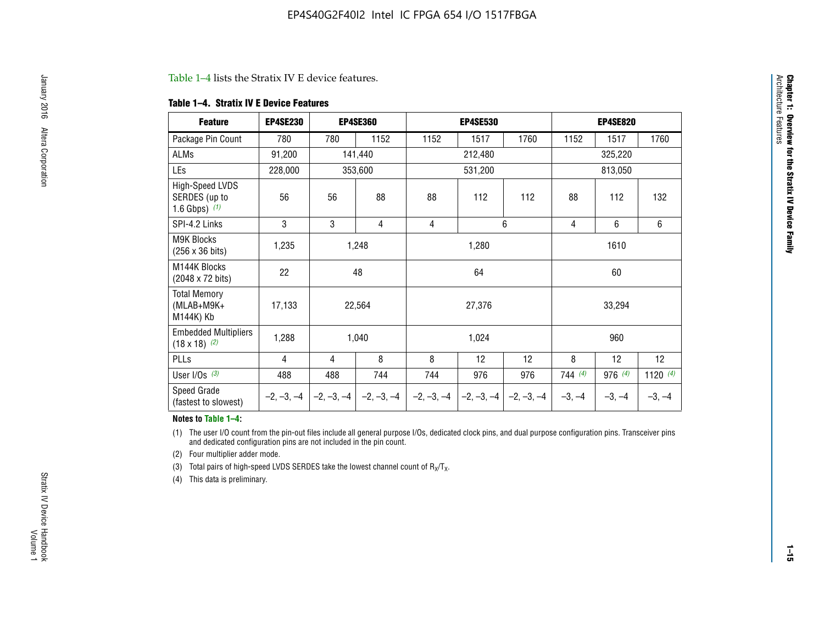#### Table 1–4 lists the Stratix IV E device features.

#### **Table 1–4. Stratix IV E Device Features**

| <b>Feature</b>                                      | <b>EP4SE230</b> |     | <b>EP4SE360</b>                          |              | <b>EP4SE530</b> |              |          | <b>EP4SE820</b> |            |
|-----------------------------------------------------|-----------------|-----|------------------------------------------|--------------|-----------------|--------------|----------|-----------------|------------|
| Package Pin Count                                   | 780             | 780 | 1152                                     | 1152         | 1517            | 1760         | 1152     | 1517            | 1760       |
| ALMs                                                | 91,200          |     | 141,440                                  |              | 212,480         |              |          | 325,220         |            |
| LEs                                                 | 228,000         |     | 353,600                                  |              | 531,200         |              |          |                 |            |
| High-Speed LVDS<br>SERDES (up to<br>1.6 Gbps) $(1)$ | 56              | 56  | 88                                       | 88           | 112             | 112          | 88       | 112             | 132        |
| SPI-4.2 Links                                       | 3               | 3   | 4                                        | 4            |                 | 6            | 4        | 6               | 6          |
| <b>M9K Blocks</b><br>(256 x 36 bits)                | 1,235           |     | 1,248                                    |              | 1,280           |              |          | 1610            |            |
| M144K Blocks<br>(2048 x 72 bits)                    | 22              |     | 48                                       |              | 64              |              |          | 60              |            |
| <b>Total Memory</b><br>$(MLAB+M9K+$<br>M144K) Kb    | 17,133          |     | 22,564                                   |              | 27,376          |              |          | 33,294          |            |
| <b>Embedded Multipliers</b><br>$(18 \times 18)$ (2) | 1,288           |     | 1,040                                    |              | 1,024           |              |          | 960             |            |
| PLLs                                                | 4               | 4   | 8                                        | 8            | 12              | 12           | 8        | 12              | 12         |
| User I/Os $(3)$                                     | 488             | 488 | 744                                      | 744          | 976             | 976          | 744(4)   | 976 (4)         | 1120 $(4)$ |
| Speed Grade<br>(fastest to slowest)                 |                 |     | $-2, -3, -4$ $ -2, -3, -4$ $ -2, -3, -4$ | $-2, -3, -4$ | $-2, -3, -4$    | $-2, -3, -4$ | $-3, -4$ | $-3, -4$        | $-3, -4$   |

#### **Notes to Table 1–4:**

(1) The user I/O count from the pin-out files include all general purpose I/Os, dedicated clock pins, and dual purpose configuration pins. Transceiver pins and dedicated configuration pins are not included in the pin count.

(2) Four multiplier adder mode.

(3) Total pairs of high-speed LVDS SERDES take the lowest channel count of  $R_X/T_X$ .

(4) This data is preliminary.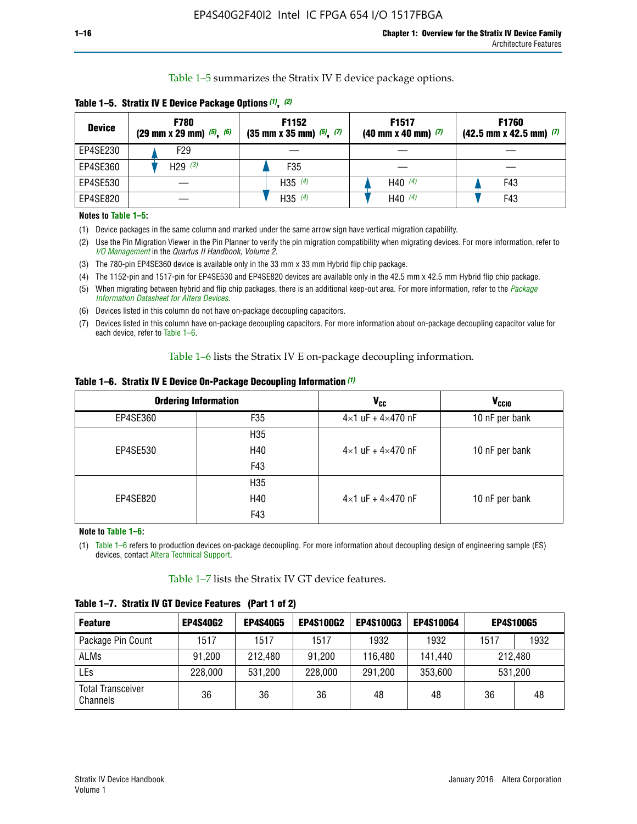Table 1–5 summarizes the Stratix IV E device package options.

| <b>Device</b> | <b>F780</b><br>$(29 \text{ mm} \times 29 \text{ mm})$ $(5)$ , $(6)$ | F1152<br>$(35 \text{ mm} \times 35 \text{ mm})$ $(5)$ $(7)$ | F <sub>1517</sub><br>$(40 \text{ mm} \times 40 \text{ mm})$ (7) | <b>F1760</b><br>$(42.5$ mm x 42.5 mm) $(7)$ |
|---------------|---------------------------------------------------------------------|-------------------------------------------------------------|-----------------------------------------------------------------|---------------------------------------------|
| EP4SE230      | F <sub>29</sub>                                                     |                                                             |                                                                 |                                             |
| EP4SE360      | H29 $(3)$                                                           | F35                                                         |                                                                 |                                             |
| EP4SE530      |                                                                     | H35 $(4)$                                                   | H40 $(4)$                                                       | F43                                         |
| EP4SE820      |                                                                     | H35 $(4)$                                                   | H40 $(4)$                                                       | F43                                         |

**Table 1–5. Stratix IV E Device Package Options** *(1)***,** *(2)*

#### **Notes to Table 1–5:**

(1) Device packages in the same column and marked under the same arrow sign have vertical migration capability.

(2) Use the Pin Migration Viewer in the Pin Planner to verify the pin migration compatibility when migrating devices. For more information, refer to *[I/O Management](http://www.altera.com/literature/hb/qts/qts_qii52013.pdf)* in the *Quartus II Handbook, Volume 2*.

(3) The 780-pin EP4SE360 device is available only in the 33 mm x 33 mm Hybrid flip chip package.

(4) The 1152-pin and 1517-pin for EP4SE530 and EP4SE820 devices are available only in the 42.5 mm x 42.5 mm Hybrid flip chip package.

(5) When migrating between hybrid and flip chip packages, there is an additional keep-out area. For more information, refer to the *[Package](http://www.altera.com/literature/ds/dspkg.pdf)  [Information Datasheet for Altera Devices](http://www.altera.com/literature/ds/dspkg.pdf)*.

(6) Devices listed in this column do not have on-package decoupling capacitors.

(7) Devices listed in this column have on-package decoupling capacitors. For more information about on-package decoupling capacitor value for each device, refer to Table 1–6.

Table 1–6 lists the Stratix IV E on-package decoupling information.

| Table 1–6. Stratix IV E Device On-Package Decoupling Information (1) |  |  |  |  |  |
|----------------------------------------------------------------------|--|--|--|--|--|
|----------------------------------------------------------------------|--|--|--|--|--|

|          | <b>Ordering Information</b> | <b>V<sub>cc</sub></b>               | <b>V<sub>CCIO</sub></b> |
|----------|-----------------------------|-------------------------------------|-------------------------|
| EP4SE360 | F35                         | $4 \times 1$ uF + $4 \times 470$ nF | 10 nF per bank          |
|          | H <sub>35</sub>             |                                     |                         |
| EP4SE530 | H40                         | $4 \times 1$ uF + $4 \times 470$ nF | 10 nF per bank          |
|          | F43                         |                                     |                         |
|          | H <sub>35</sub>             |                                     |                         |
| EP4SE820 | H40                         | $4 \times 1$ uF + $4 \times 470$ nF | 10 nF per bank          |
|          | F43                         |                                     |                         |

**Note to Table 1–6:**

(1) Table 1–6 refers to production devices on-package decoupling. For more information about decoupling design of engineering sample (ES) devices, contact [Altera Technical Support](http://mysupport.altera.com/eservice/login.asp).

Table 1–7 lists the Stratix IV GT device features.

| <b>Feature</b>                       | <b>EP4S40G2</b> | <b>EP4S40G5</b> | <b>EP4S100G2</b> | <b>EP4S100G3</b> | <b>EP4S100G4</b> | <b>EP4S100G5</b> |         |
|--------------------------------------|-----------------|-----------------|------------------|------------------|------------------|------------------|---------|
| Package Pin Count                    | 1517            | 1517            | 1517             | 1932             | 1932             | 1517             | 1932    |
| <b>ALMs</b>                          | 91,200          | 212,480         | 91,200           | 116,480          | 141,440          |                  | 212.480 |
| LEs                                  | 228,000         | 531,200         | 228,000          | 291,200          | 353,600          |                  | 531,200 |
| <b>Total Transceiver</b><br>Channels | 36              | 36              | 36               | 48               | 48               | 36               | 48      |

**Table 1–7. Stratix IV GT Device Features (Part 1 of 2)**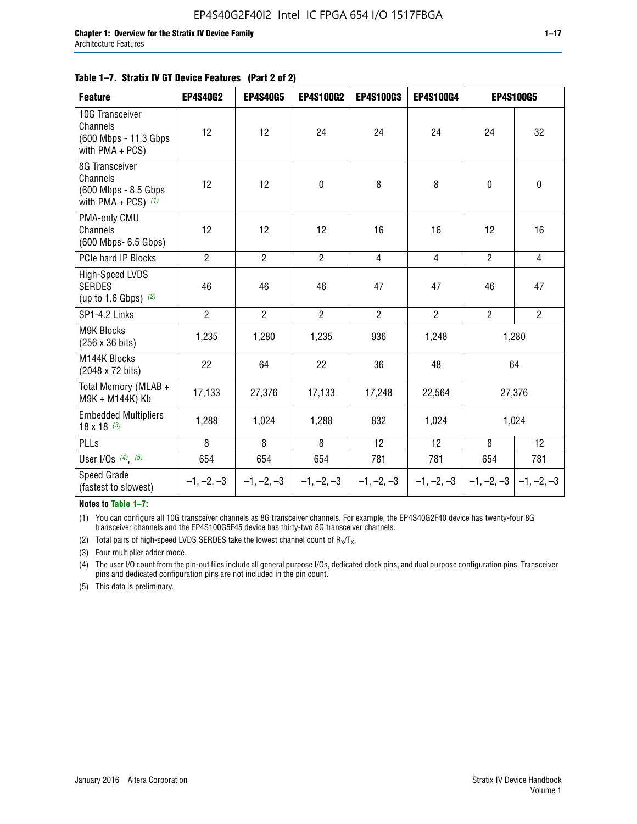#### **Table 1–7. Stratix IV GT Device Features (Part 2 of 2)**

| <b>Feature</b>                                                                 | <b>EP4S40G2</b> | <b>EP4S40G5</b> | <b>EP4S100G2</b> | <b>EP4S100G3</b> | <b>EP4S100G4</b> |                | EP4S100G5                 |
|--------------------------------------------------------------------------------|-----------------|-----------------|------------------|------------------|------------------|----------------|---------------------------|
| 10G Transceiver<br><b>Channels</b><br>(600 Mbps - 11.3 Gbps<br>with PMA + PCS) | 12              | 12              | 24               | 24               | 24               | 24             | 32                        |
| 8G Transceiver<br>Channels<br>(600 Mbps - 8.5 Gbps<br>with PMA + PCS) $(1)$    | 12              | 12              | $\pmb{0}$        | 8                | 8                | $\mathbf 0$    | $\pmb{0}$                 |
| PMA-only CMU<br>Channels<br>(600 Mbps- 6.5 Gbps)                               | 12              | 12              | 12               | 16               | 16               | 12             | 16                        |
| PCIe hard IP Blocks                                                            | $\overline{2}$  | $\overline{2}$  | $\overline{2}$   | $\overline{4}$   | $\overline{4}$   | $\overline{2}$ | $\overline{4}$            |
| High-Speed LVDS<br><b>SERDES</b><br>(up to 1.6 Gbps) $(2)$                     | 46              | 46              | 46               | 47               | 47               | 46             | 47                        |
| SP1-4.2 Links                                                                  | $\overline{2}$  | $\overline{2}$  | $\overline{2}$   | $\overline{2}$   | $\overline{2}$   | $\overline{2}$ | $\overline{2}$            |
| <b>M9K Blocks</b><br>(256 x 36 bits)                                           | 1,235           | 1,280           | 1,235            | 936              | 1,248            |                | 1,280                     |
| M144K Blocks<br>(2048 x 72 bits)                                               | 22              | 64              | 22               | 36               | 48               |                | 64                        |
| Total Memory (MLAB +<br>M9K + M144K) Kb                                        | 17,133          | 27,376          | 17,133           | 17,248           | 22,564           |                | 27,376                    |
| <b>Embedded Multipliers</b><br>$18 \times 18^{(3)}$                            | 1,288           | 1,024           | 1,288            | 832              | 1,024            |                | 1,024                     |
| PLLs                                                                           | 8               | 8               | 8                | 12               | 12               | 8              | 12                        |
| User I/Os $(4)$ , $(5)$                                                        | 654             | 654             | 654              | 781              | 781              | 654            | 781                       |
| Speed Grade<br>(fastest to slowest)                                            | $-1, -2, -3$    | $-1, -2, -3$    | $-1, -2, -3$     | $-1, -2, -3$     | $-1, -2, -3$     |                | $-1, -2, -3$ $-1, -2, -3$ |

**Notes to Table 1–7:**

(1) You can configure all 10G transceiver channels as 8G transceiver channels. For example, the EP4S40G2F40 device has twenty-four 8G transceiver channels and the EP4S100G5F45 device has thirty-two 8G transceiver channels.

(2) Total pairs of high-speed LVDS SERDES take the lowest channel count of  $R_X/T_X$ .

(3) Four multiplier adder mode.

(4) The user I/O count from the pin-out files include all general purpose I/Os, dedicated clock pins, and dual purpose configuration pins. Transceiver pins and dedicated configuration pins are not included in the pin count.

(5) This data is preliminary.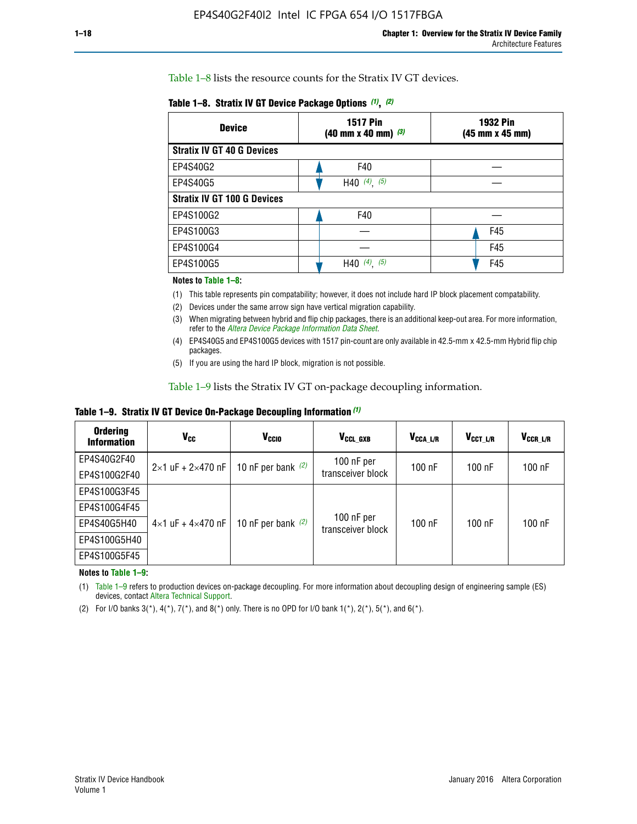Table 1–8 lists the resource counts for the Stratix IV GT devices.

| <b>Device</b>                      | <b>1517 Pin</b><br><b>1932 Pin</b><br>$(40 \text{ mm} \times 40 \text{ mm})$ $(3)$<br>(45 mm x 45 mm) |     |  |
|------------------------------------|-------------------------------------------------------------------------------------------------------|-----|--|
| <b>Stratix IV GT 40 G Devices</b>  |                                                                                                       |     |  |
| EP4S40G2                           | F40                                                                                                   |     |  |
| EP4S40G5                           | H40 $(4)$ , $(5)$                                                                                     |     |  |
| <b>Stratix IV GT 100 G Devices</b> |                                                                                                       |     |  |
| EP4S100G2                          | F40                                                                                                   |     |  |
| EP4S100G3                          |                                                                                                       | F45 |  |
| EP4S100G4                          |                                                                                                       | F45 |  |
| EP4S100G5                          | (5)<br>$(4)$ ,<br>H40                                                                                 | F45 |  |

#### **Notes to Table 1–8:**

(1) This table represents pin compatability; however, it does not include hard IP block placement compatability.

- (2) Devices under the same arrow sign have vertical migration capability.
- (3) When migrating between hybrid and flip chip packages, there is an additional keep-out area. For more information, refer to the *[Altera Device Package Information Data Sheet](http://www.altera.com/literature/ds/dspkg.pdf)*.
- (4) EP4S40G5 and EP4S100G5 devices with 1517 pin-count are only available in 42.5-mm x 42.5-mm Hybrid flip chip packages.
- (5) If you are using the hard IP block, migration is not possible.

Table 1–9 lists the Stratix IV GT on-package decoupling information.

**Table 1–9. Stratix IV GT Device On-Package Decoupling Information** *(1)*

| <b>Ordering</b><br><b>Information</b> | Vcc                                 | <b>V<sub>CCIO</sub></b> | V <sub>CCL GXB</sub>            | V <sub>CCA L/R</sub> | V <sub>CCT L/R</sub> | V <sub>CCR_L/R</sub> |
|---------------------------------------|-------------------------------------|-------------------------|---------------------------------|----------------------|----------------------|----------------------|
| EP4S40G2F40                           | $2 \times 1$ uF + $2 \times 470$ nF | 10 nF per bank $(2)$    | 100 nF per<br>transceiver block | $100$ nF             | $100$ nF             | 100 nF               |
| EP4S100G2F40                          |                                     |                         |                                 |                      |                      |                      |
| EP4S100G3F45                          |                                     | 10 nF per bank $(2)$    | 100 nF per<br>transceiver block | $100$ nF             | $100$ nF             | $100$ nF             |
| EP4S100G4F45                          |                                     |                         |                                 |                      |                      |                      |
| EP4S40G5H40                           | $4\times1$ uF + $4\times470$ nF     |                         |                                 |                      |                      |                      |
| EP4S100G5H40                          |                                     |                         |                                 |                      |                      |                      |
| EP4S100G5F45                          |                                     |                         |                                 |                      |                      |                      |

**Notes to Table 1–9:**

(1) Table 1–9 refers to production devices on-package decoupling. For more information about decoupling design of engineering sample (ES) devices, contact [Altera Technical Support](http://mysupport.altera.com/eservice/login.asp).

(2) For I/O banks  $3(*)$ ,  $4(*)$ ,  $7(*)$ , and  $8(*)$  only. There is no OPD for I/O bank  $1(*)$ ,  $2(*)$ ,  $5(*)$ , and  $6(*)$ .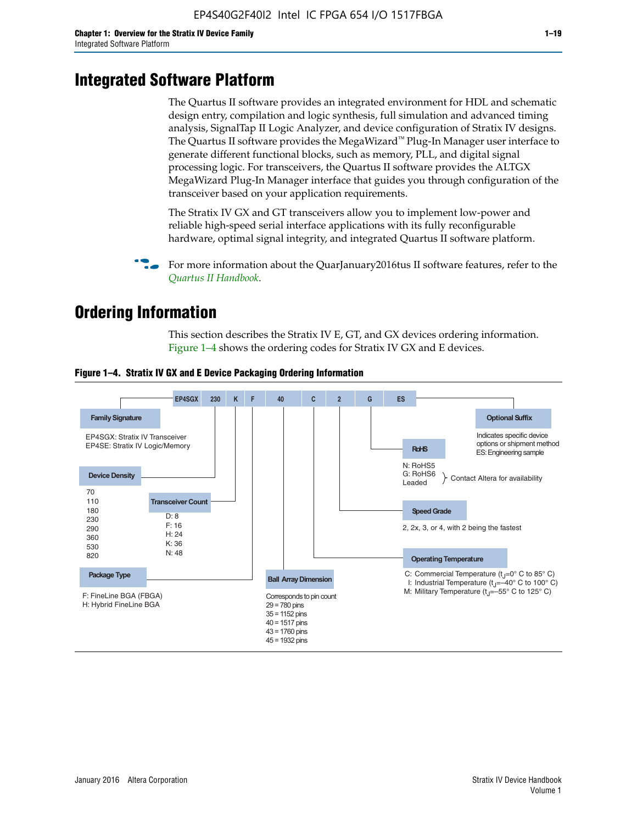# **Integrated Software Platform**

The Quartus II software provides an integrated environment for HDL and schematic design entry, compilation and logic synthesis, full simulation and advanced timing analysis, SignalTap II Logic Analyzer, and device configuration of Stratix IV designs. The Quartus II software provides the MegaWizard<sup> $M$ </sup> Plug-In Manager user interface to generate different functional blocks, such as memory, PLL, and digital signal processing logic. For transceivers, the Quartus II software provides the ALTGX MegaWizard Plug-In Manager interface that guides you through configuration of the transceiver based on your application requirements.

The Stratix IV GX and GT transceivers allow you to implement low-power and reliable high-speed serial interface applications with its fully reconfigurable hardware, optimal signal integrity, and integrated Quartus II software platform.

For more information about the QuarJanuary2016tus II software features, refer to the *[Quartus II Handbook](http://www.altera.com/literature/lit-qts.jsp)*.

# **Ordering Information**

This section describes the Stratix IV E, GT, and GX devices ordering information. Figure 1–4 shows the ordering codes for Stratix IV GX and E devices.



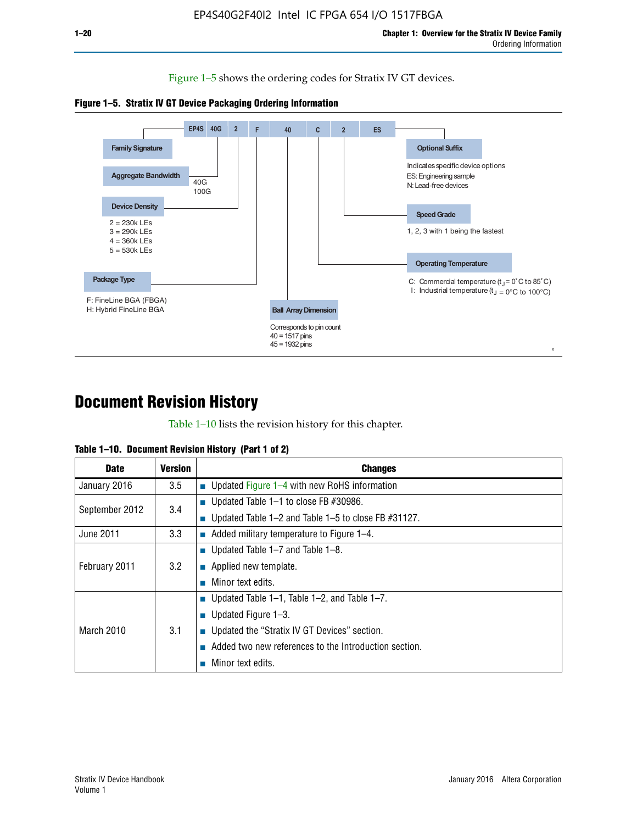Figure 1–5 shows the ordering codes for Stratix IV GT devices.





# **Document Revision History**

Table 1–10 lists the revision history for this chapter.

| Table 1–10. Document Revision History (Part 1 of 2) |  |  |  |  |  |
|-----------------------------------------------------|--|--|--|--|--|
|-----------------------------------------------------|--|--|--|--|--|

| <b>Date</b>       | Version | <b>Changes</b>                                         |
|-------------------|---------|--------------------------------------------------------|
| January 2016      | $3.5\,$ | <b>Updated Figure 1–4 with new RoHS information</b>    |
| September 2012    | 3.4     | ■ Updated Table 1–1 to close FB $#30986$ .             |
|                   |         | Updated Table 1–2 and Table 1–5 to close FB $#31127$ . |
| June 2011         | 3.3     | Added military temperature to Figure 1–4.              |
| February 2011     | 3.2     | ■ Updated Table 1–7 and Table 1–8.                     |
|                   |         | $\blacksquare$ Applied new template.                   |
|                   |         | Minor text edits.                                      |
|                   |         | <b>Updated Table 1–1, Table 1–2, and Table 1–7.</b>    |
| <b>March 2010</b> | 3.1     | ■ Updated Figure $1-3$ .                               |
|                   |         | ■ Updated the "Stratix IV GT Devices" section.         |
|                   |         | Added two new references to the Introduction section.  |
|                   |         | Minor text edits.                                      |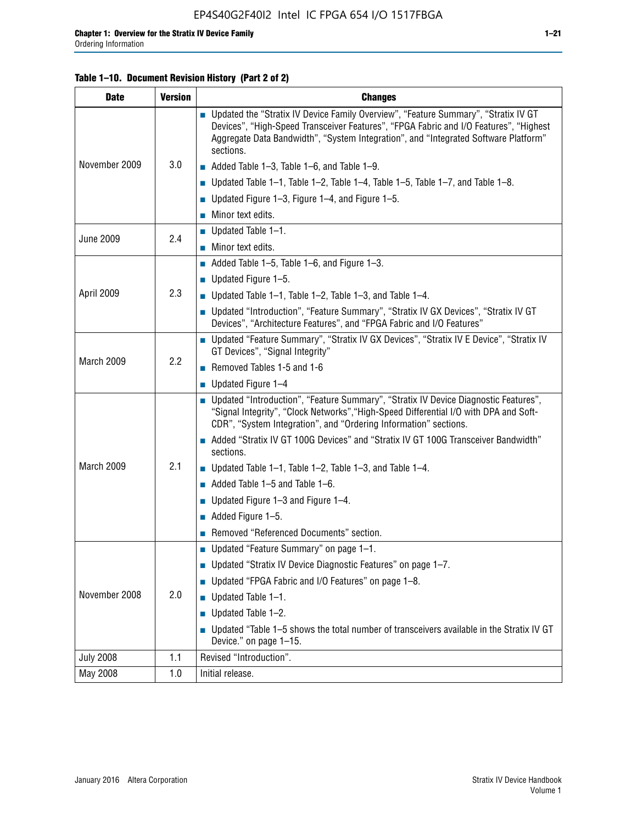## **Table 1–10. Document Revision History (Part 2 of 2)**

| <b>Date</b>      | <b>Version</b> | <b>Changes</b>                                                                                                                                                                                                                                                                    |  |  |
|------------------|----------------|-----------------------------------------------------------------------------------------------------------------------------------------------------------------------------------------------------------------------------------------------------------------------------------|--|--|
|                  |                | ■ Updated the "Stratix IV Device Family Overview", "Feature Summary", "Stratix IV GT<br>Devices", "High-Speed Transceiver Features", "FPGA Fabric and I/O Features", "Highest<br>Aggregate Data Bandwidth", "System Integration", and "Integrated Software Platform"<br>sections. |  |  |
| November 2009    | 3.0            | $\blacksquare$ Added Table 1-3, Table 1-6, and Table 1-9.                                                                                                                                                                                                                         |  |  |
|                  |                | $\blacksquare$ Updated Table 1-1, Table 1-2, Table 1-4, Table 1-5, Table 1-7, and Table 1-8.                                                                                                                                                                                      |  |  |
|                  |                | ■ Updated Figure 1–3, Figure 1–4, and Figure 1–5.                                                                                                                                                                                                                                 |  |  |
|                  |                | $\blacksquare$ Minor text edits.                                                                                                                                                                                                                                                  |  |  |
|                  | 2.4            | $\blacksquare$ Updated Table 1-1.                                                                                                                                                                                                                                                 |  |  |
| <b>June 2009</b> |                | Minor text edits.                                                                                                                                                                                                                                                                 |  |  |
|                  |                | $\blacksquare$ Added Table 1–5, Table 1–6, and Figure 1–3.                                                                                                                                                                                                                        |  |  |
|                  |                | $\blacksquare$ Updated Figure 1-5.                                                                                                                                                                                                                                                |  |  |
| April 2009       | 2.3            | Updated Table $1-1$ , Table $1-2$ , Table $1-3$ , and Table $1-4$ .                                                                                                                                                                                                               |  |  |
|                  |                | ■ Updated "Introduction", "Feature Summary", "Stratix IV GX Devices", "Stratix IV GT<br>Devices", "Architecture Features", and "FPGA Fabric and I/O Features"                                                                                                                     |  |  |
|                  | 2.2            | ■ Updated "Feature Summary", "Stratix IV GX Devices", "Stratix IV E Device", "Stratix IV<br>GT Devices", "Signal Integrity"                                                                                                                                                       |  |  |
| March 2009       |                | Removed Tables 1-5 and 1-6                                                                                                                                                                                                                                                        |  |  |
|                  |                | Updated Figure 1-4                                                                                                                                                                                                                                                                |  |  |
|                  |                | ■ Updated "Introduction", "Feature Summary", "Stratix IV Device Diagnostic Features",<br>"Signal Integrity", "Clock Networks", "High-Speed Differential I/O with DPA and Soft-<br>CDR", "System Integration", and "Ordering Information" sections.                                |  |  |
|                  |                | Added "Stratix IV GT 100G Devices" and "Stratix IV GT 100G Transceiver Bandwidth"<br>sections.                                                                                                                                                                                    |  |  |
| March 2009       | 2.1            | <b>Updated Table 1–1, Table 1–2, Table 1–3, and Table 1–4.</b>                                                                                                                                                                                                                    |  |  |
|                  |                | $\blacksquare$ Added Table 1-5 and Table 1-6.                                                                                                                                                                                                                                     |  |  |
|                  |                | ■ Updated Figure $1-3$ and Figure $1-4$ .                                                                                                                                                                                                                                         |  |  |
|                  |                | $\blacksquare$ Added Figure 1-5.                                                                                                                                                                                                                                                  |  |  |
|                  |                | Removed "Referenced Documents" section.                                                                                                                                                                                                                                           |  |  |
|                  |                | Updated "Feature Summary" on page 1-1.                                                                                                                                                                                                                                            |  |  |
| November 2008    | 2.0            | ■ Updated "Stratix IV Device Diagnostic Features" on page 1-7.                                                                                                                                                                                                                    |  |  |
|                  |                | Updated "FPGA Fabric and I/O Features" on page 1-8.                                                                                                                                                                                                                               |  |  |
|                  |                | $\blacksquare$ Updated Table 1-1.                                                                                                                                                                                                                                                 |  |  |
|                  |                | Updated Table 1-2.                                                                                                                                                                                                                                                                |  |  |
|                  |                | Updated "Table 1-5 shows the total number of transceivers available in the Stratix IV GT<br>Device." on page 1-15.                                                                                                                                                                |  |  |
| <b>July 2008</b> | 1.1            | Revised "Introduction".                                                                                                                                                                                                                                                           |  |  |
| May 2008         | 1.0            | Initial release.                                                                                                                                                                                                                                                                  |  |  |